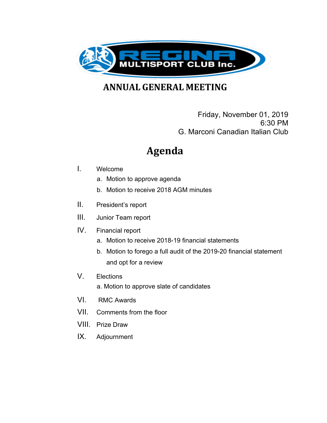

**ANNUAL GENERAL MEETING** 

Friday, November 01, 2019 6:30 PM G. Marconi Canadian Italian Club

# **Agenda**

#### I. Welcome

- a. Motion to approve agenda
- b. Motion to receive 2018 AGM minutes
- II. President's report
- III. Junior Team report
- IV. Financial report
	- a. Motion to receive 2018-19 financial statements
	- b. Motion to forego a full audit of the 2019-20 financial statement and opt for a review
- V. Elections
	- a. Motion to approve slate of candidates
- VI. RMC Awards
- VII. Comments from the floor
- VIII. Prize Draw
- IX. Adjournment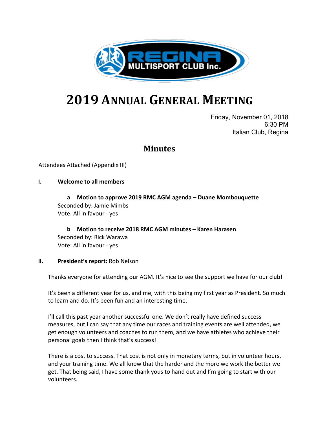

# **2019 ANNUAL GENERAL MEETING**

Friday, November 01, 2018 6:30 PM Italian Club, Regina

## **Minutes**

#### Attendees Attached (Appendix III)

#### **I. Welcome to all members**

**a Motion to approve 2019 RMC AGM agenda – Duane Mombouquette** Seconded by: Jamie Mimbs Vote: All in favour - yes

**b Motion to receive 2018 RMC AGM minutes – Karen Harasen** Seconded by: Rick Warawa Vote: All in favour - yes

#### **II. President's report:** Rob Nelson

Thanks everyone for attending our AGM. It's nice to see the support we have for our club!

It's been a different year for us, and me, with this being my first year as President. So much to learn and do. It's been fun and an interesting time.

I'll call this past year another successful one. We don't really have defined success measures, but I can say that any time our races and training events are well attended, we get enough volunteers and coaches to run them, and we have athletes who achieve their personal goals then I think that's success!

There is a cost to success. That cost is not only in monetary terms, but in volunteer hours, and your training time. We all know that the harder and the more we work the better we get. That being said, I have some thank yous to hand out and I'm going to start with our volunteers.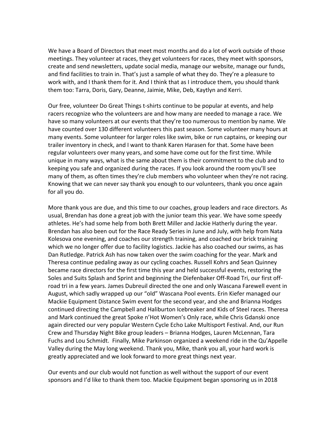We have a Board of Directors that meet most months and do a lot of work outside of those meetings. They volunteer at races, they get volunteers for races, they meet with sponsors, create and send newsletters, update social media, manage our website, manage our funds, and find facilities to train in. That's just a sample of what they do. They're a pleasure to work with, and I thank them for it. And I think that as I introduce them, you should thank them too: Tarra, Doris, Gary, Deanne, Jaimie, Mike, Deb, Kaytlyn and Kerri.

Our free, volunteer Do Great Things t-shirts continue to be popular at events, and help racers recognize who the volunteers are and how many are needed to manage a race. We have so many volunteers at our events that they're too numerous to mention by name. We have counted over 130 different volunteers this past season. Some volunteer many hours at many events. Some volunteer for larger roles like swim, bike or run captains, or keeping our trailer inventory in check, and I want to thank Karen Harasen for that. Some have been regular volunteers over many years, and some have come out for the first time. While unique in many ways, what is the same about them is their commitment to the club and to keeping you safe and organized during the races. If you look around the room you'll see many of them, as often times they're club members who volunteer when they're not racing. Knowing that we can never say thank you enough to our volunteers, thank you once again for all you do.

More thank yous are due, and this time to our coaches, group leaders and race directors. As usual, Brendan has done a great job with the junior team this year. We have some speedy athletes. He's had some help from both Brett Miller and Jackie Hatherly during the year. Brendan has also been out for the Race Ready Series in June and July, with help from Nata Kolesova one evening, and coaches our strength training, and coached our brick training which we no longer offer due to facility logistics. Jackie has also coached our swims, as has Dan Rutledge. Patrick Ash has now taken over the swim coaching for the year. Mark and Theresa continue pedaling away as our cycling coaches. Russell Kohrs and Sean Quinney became race directors for the first time this year and held successful events, restoring the Soles and Suits Splash and Sprint and beginning the Diefenbaker Off-Road Tri, our first offroad tri in a few years. James Dubreuil directed the one and only Wascana Farewell event in August, which sadly wrapped up our "old" Wascana Pool events. Erin Kiefer managed our Mackie Equipment Distance Swim event for the second year, and she and Brianna Hodges continued directing the Campbell and Haliburton Icebreaker and Kids of Steel races. Theresa and Mark continued the great Spoke n'Hot Women's Only race, while Chris Gdanski once again directed our very popular Western Cycle Echo Lake Multisport Festival. And, our Run Crew and Thursday Night Bike group leaders – Brianna Hodges, Lauren McLennan, Tara Fuchs and Lou Schmidt. Finally, Mike Parkinson organized a weekend ride in the Qu'Appelle Valley during the May long weekend. Thank you, Mike, thank you all, your hard work is greatly appreciated and we look forward to more great things next year.

Our events and our club would not function as well without the support of our event sponsors and I'd like to thank them too. Mackie Equipment began sponsoring us in 2018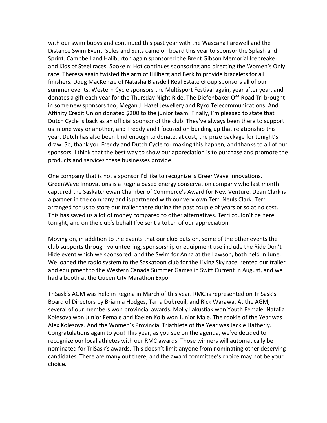with our swim buoys and continued this past year with the Wascana Farewell and the Distance Swim Event. Soles and Suits came on board this year to sponsor the Splash and Sprint. Campbell and Haliburton again sponsored the Brent Gibson Memorial Icebreaker and Kids of Steel races. Spoke n' Hot continues sponsoring and directing the Women's Only race. Theresa again twisted the arm of Hillberg and Berk to provide bracelets for all finishers. Doug MacKenzie of Natasha Blaisdell Real Estate Group sponsors all of our summer events. Western Cycle sponsors the Multisport Festival again, year after year, and donates a gift each year for the Thursday Night Ride. The Diefenbaker Off-Road Tri brought in some new sponsors too; Megan J. Hazel Jewellery and Ryko Telecommunications. And Affinity Credit Union donated \$200 to the junior team. Finally, I'm pleased to state that Dutch Cycle is back as an official sponsor of the club. They've always been there to support us in one way or another, and Freddy and I focused on building up that relationship this year. Dutch has also been kind enough to donate, at cost, the prize package for tonight's draw. So, thank you Freddy and Dutch Cycle for making this happen, and thanks to all of our sponsors. I think that the best way to show our appreciation is to purchase and promote the products and services these businesses provide.

One company that is not a sponsor I'd like to recognize is GreenWave Innovations. GreenWave Innovations is a Regina based energy conservation company who last month captured the Saskatchewan Chamber of Commerce's Award for New Venture. Dean Clark is a partner in the company and is partnered with our very own Terri Neuls Clark. Terri arranged for us to store our trailer there during the past couple of years or so at no cost. This has saved us a lot of money compared to other alternatives. Terri couldn't be here tonight, and on the club's behalf I've sent a token of our appreciation.

Moving on, in addition to the events that our club puts on, some of the other events the club supports through volunteering, sponsorship or equipment use include the Ride Don't Hide event which we sponsored, and the Swim for Anna at the Lawson, both held in June. We loaned the radio system to the Saskatoon club for the Living Sky race, rented our trailer and equipment to the Western Canada Summer Games in Swift Current in August, and we had a booth at the Queen City Marathon Expo.

TriSask's AGM was held in Regina in March of this year. RMC is represented on TriSask's Board of Directors by Brianna Hodges, Tarra Dubreuil, and Rick Warawa. At the AGM, several of our members won provincial awards. Molly Lakustiak won Youth Female. Natalia Kolesova won Junior Female and Kaelen Kolb won Junior Male. The rookie of the Year was Alex Kolesova. And the Women's Provincial Triathlete of the Year was Jackie Hatherly. Congratulations again to you! This year, as you see on the agenda, we've decided to recognize our local athletes with our RMC awards. Those winners will automatically be nominated for TriSask's awards. This doesn't limit anyone from nominating other deserving candidates. There are many out there, and the award committee's choice may not be your choice.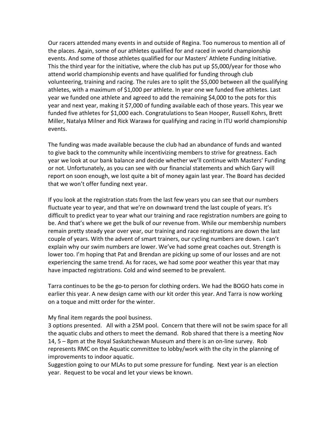Our racers attended many events in and outside of Regina. Too numerous to mention all of the places. Again, some of our athletes qualified for and raced in world championship events. And some of those athletes qualified for our Masters' Athlete Funding Initiative. This the third year for the initiative, where the club has put up \$5,000/year for those who attend world championship events and have qualified for funding through club volunteering, training and racing. The rules are to split the \$5,000 between all the qualifying athletes, with a maximum of \$1,000 per athlete. In year one we funded five athletes. Last year we funded one athlete and agreed to add the remaining \$4,000 to the pots for this year and next year, making it \$7,000 of funding available each of those years. This year we funded five athletes for \$1,000 each. Congratulations to Sean Hooper, Russell Kohrs, Brett Miller, Natalya Milner and Rick Warawa for qualifying and racing in ITU world championship events.

The funding was made available because the club had an abundance of funds and wanted to give back to the community while incentivizing members to strive for greatness. Each year we look at our bank balance and decide whether we'll continue with Masters' Funding or not. Unfortunately, as you can see with our financial statements and which Gary will report on soon enough, we lost quite a bit of money again last year. The Board has decided that we won't offer funding next year.

If you look at the registration stats from the last few years you can see that our numbers fluctuate year to year, and that we're on downward trend the last couple of years. It's difficult to predict year to year what our training and race registration numbers are going to be. And that's where we get the bulk of our revenue from. While our membership numbers remain pretty steady year over year, our training and race registrations are down the last couple of years. With the advent of smart trainers, our cycling numbers are down. I can't explain why our swim numbers are lower. We've had some great coaches out. Strength is lower too. I'm hoping that Pat and Brendan are picking up some of our losses and are not experiencing the same trend. As for races, we had some poor weather this year that may have impacted registrations. Cold and wind seemed to be prevalent.

Tarra continues to be the go-to person for clothing orders. We had the BOGO hats come in earlier this year. A new design came with our kit order this year. And Tarra is now working on a toque and mitt order for the winter.

#### My final item regards the pool business.

3 options presented. All with a 25M pool. Concern that there will not be swim space for all the aquatic clubs and others to meet the demand. Rob shared that there is a meeting Nov 14, 5 – 8pm at the Royal Saskatchewan Museum and there is an on-line survey. Rob represents RMC on the Aquatic committee to lobby/work with the city in the planning of improvements to indoor aquatic.

Suggestion going to our MLAs to put some pressure for funding. Next year is an election year. Request to be vocal and let your views be known.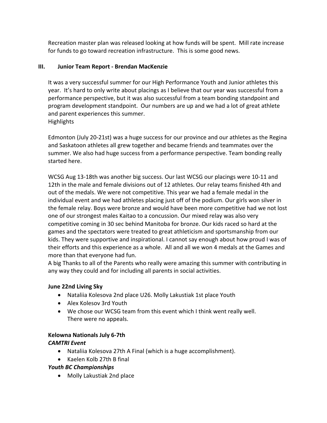Recreation master plan was released looking at how funds will be spent. Mill rate increase for funds to go toward recreation infrastructure. This is some good news.

#### **III. Junior Team Report - Brendan MacKenzie**

It was a very successful summer for our High Performance Youth and Junior athletes this year. It's hard to only write about placings as I believe that our year was successful from a performance perspective, but it was also successful from a team bonding standpoint and program development standpoint. Our numbers are up and we had a lot of great athlete and parent experiences this summer. **Highlights** 

Edmonton (July 20-21st) was a huge success for our province and our athletes as the Regina and Saskatoon athletes all grew together and became friends and teammates over the summer. We also had huge success from a performance perspective. Team bonding really started here.

WCSG Aug 13-18th was another big success. Our last WCSG our placings were 10-11 and 12th in the male and female divisions out of 12 athletes. Our relay teams finished 4th and out of the medals. We were not competitive. This year we had a female medal in the individual event and we had athletes placing just off of the podium. Our girls won silver in the female relay. Boys were bronze and would have been more competitive had we not lost one of our strongest males Kaitao to a concussion. Our mixed relay was also very competitive coming in 30 sec behind Manitoba for bronze. Our kids raced so hard at the games and the spectators were treated to great athleticism and sportsmanship from our kids. They were supportive and inspirational. I cannot say enough about how proud I was of their efforts and this experience as a whole. All and all we won 4 medals at the Games and more than that everyone had fun.

A big Thanks to all of the Parents who really were amazing this summer with contributing in any way they could and for including all parents in social activities.

#### **June 22nd Living Sky**

- Nataliia Kolesova 2nd place U26. Molly Lakustiak 1st place Youth
- Alex Kolesov 3rd Youth
- We chose our WCSG team from this event which I think went really well. There were no appeals.

#### **Kelowna Nationals July 6-7th**

#### *CAMTRI Event*

- Nataliia Kolesova 27th A Final (which is a huge accomplishment).
- Kaelen Kolb 27th B final

#### *Youth BC Championships*

• Molly Lakustiak 2nd place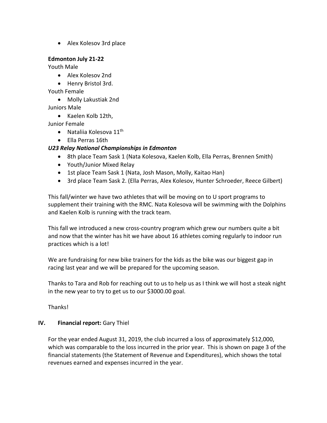• Alex Kolesov 3rd place

#### **Edmonton July 21-22**

Youth Male

- Alex Kolesov 2nd
- Henry Bristol 3rd.

Youth Female

• Molly Lakustiak 2nd

Juniors Male

• Kaelen Kolb 12th,

Junior Female

- Nataliia Kolesova  $11^{\text{th}}$
- Ella Perras 16th

#### *U23 Relay National Championships in Edmonton*

- 8th place Team Sask 1 (Nata Kolesova, Kaelen Kolb, Ella Perras, Brennen Smith)
- Youth/Junior Mixed Relay
- 1st place Team Sask 1 (Nata, Josh Mason, Molly, Kaitao Han)
- 3rd place Team Sask 2. (Ella Perras, Alex Kolesov, Hunter Schroeder, Reece Gilbert)

This fall/winter we have two athletes that will be moving on to U sport programs to supplement their training with the RMC. Nata Kolesova will be swimming with the Dolphins and Kaelen Kolb is running with the track team.

This fall we introduced a new cross-country program which grew our numbers quite a bit and now that the winter has hit we have about 16 athletes coming regularly to indoor run practices which is a lot!

We are fundraising for new bike trainers for the kids as the bike was our biggest gap in racing last year and we will be prepared for the upcoming season.

Thanks to Tara and Rob for reaching out to us to help us as I think we will host a steak night in the new year to try to get us to our \$3000.00 goal.

Thanks!

#### **IV.** Financial report: Gary Thiel

For the year ended August 31, 2019, the club incurred a loss of approximately \$12,000, which was comparable to the loss incurred in the prior year. This is shown on page 3 of the financial statements (the Statement of Revenue and Expenditures), which shows the total revenues earned and expenses incurred in the year.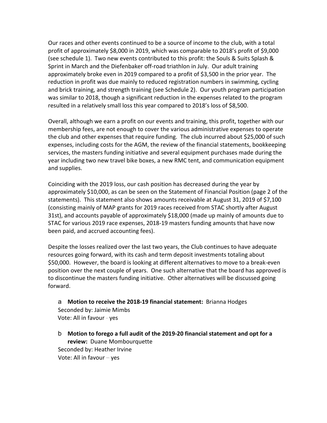Our races and other events continued to be a source of income to the club, with a total profit of approximately \$8,000 in 2019, which was comparable to 2018's profit of \$9,000 (see schedule 1). Two new events contributed to this profit: the Souls & Suits Splash & Sprint in March and the Diefenbaker off-road triathlon in July. Our adult training approximately broke even in 2019 compared to a profit of \$3,500 in the prior year. The reduction in profit was due mainly to reduced registration numbers in swimming, cycling and brick training, and strength training (see Schedule 2). Our youth program participation was similar to 2018, though a significant reduction in the expenses related to the program resulted in a relatively small loss this year compared to 2018's loss of \$8,500.

Overall, although we earn a profit on our events and training, this profit, together with our membership fees, are not enough to cover the various administrative expenses to operate the club and other expenses that require funding. The club incurred about \$25,000 of such expenses, including costs for the AGM, the review of the financial statements, bookkeeping services, the masters funding initiative and several equipment purchases made during the year including two new travel bike boxes, a new RMC tent, and communication equipment and supplies.

Coinciding with the 2019 loss, our cash position has decreased during the year by approximately \$10,000, as can be seen on the Statement of Financial Position (page 2 of the statements). This statement also shows amounts receivable at August 31, 2019 of \$7,100 (consisting mainly of MAP grants for 2019 races received from STAC shortly after August 31st), and accounts payable of approximately \$18,000 (made up mainly of amounts due to STAC for various 2019 race expenses, 2018-19 masters funding amounts that have now been paid, and accrued accounting fees).

Despite the losses realized over the last two years, the Club continues to have adequate resources going forward, with its cash and term deposit investments totaling about \$50,000. However, the board is looking at different alternatives to move to a break-even position over the next couple of years. One such alternative that the board has approved is to discontinue the masters funding initiative. Other alternatives will be discussed going forward.

a **Motion to receive the 2018-19 financial statement:** Brianna Hodges Seconded by: Jaimie Mimbs Vote: All in favour - yes

b **Motion to forego a full audit of the 2019-20 financial statement and opt for a review:** Duane Mombourquette Seconded by: Heather Irvine Vote: All in favour – yes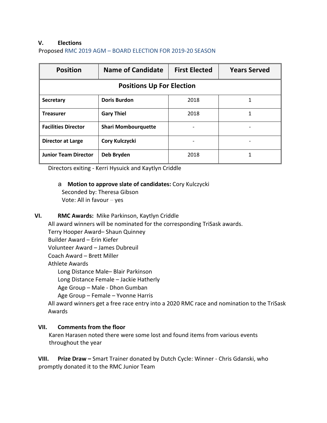#### **V. Elections**

Proposed RMC 2019 AGM – BOARD ELECTION FOR 2019-20 SEASON

| <b>Position</b>                  | <b>Name of Candidate</b>   | <b>First Elected</b> | <b>Years Served</b> |  |  |
|----------------------------------|----------------------------|----------------------|---------------------|--|--|
| <b>Positions Up For Election</b> |                            |                      |                     |  |  |
| <b>Secretary</b>                 | <b>Doris Burdon</b>        | 2018                 |                     |  |  |
| <b>Treasurer</b>                 | <b>Gary Thiel</b>          | 2018                 |                     |  |  |
| <b>Facilities Director</b>       | <b>Shari Mombourquette</b> |                      |                     |  |  |
| <b>Director at Large</b>         | Cory Kulczycki             |                      |                     |  |  |
| <b>Junior Team Director</b>      | Deb Bryden                 | 2018                 |                     |  |  |

Directors exiting - Kerri Hysuick and Kaytlyn Criddle

a **Motion to approve slate of candidates:** Cory Kulczycki Seconded by: Theresa Gibson

Vote: All in favour – yes

#### **VI. RMC Awards:** Mike Parkinson, Kaytlyn Criddle

All award winners will be nominated for the corresponding TriSask awards.

Terry Hooper Award– Shaun Quinney

Builder Award – Erin Kiefer

Volunteer Award – James Dubreuil

Coach Award – Brett Miller

#### Athlete Awards

Long Distance Male– Blair Parkinson

Long Distance Female – Jackie Hatherly

Age Group – Male - Dhon Gumban

Age Group – Female – Yvonne Harris

All award winners get a free race entry into a 2020 RMC race and nomination to the TriSask Awards

#### **VII. Comments from the floor**

Karen Harasen noted there were some lost and found items from various events throughout the year

**VIII. Prize Draw –** Smart Trainer donated by Dutch Cycle: Winner - Chris Gdanski, who promptly donated it to the RMC Junior Team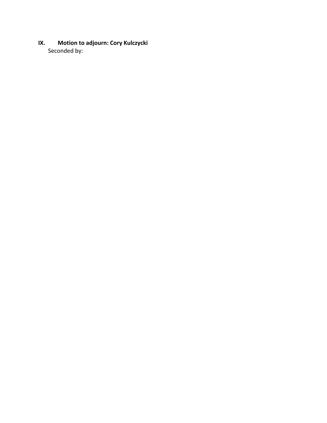**IX. Motion to adjourn: Cory Kulczycki** Seconded by: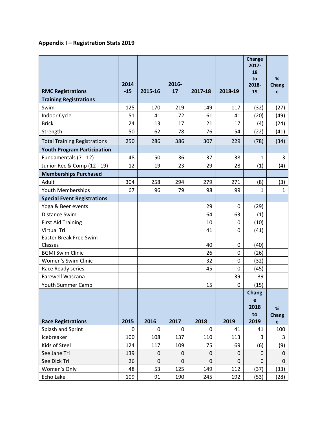### **Appendix I – Registration Stats 2019**

|                                          |               |             |             |             |         | Change<br>$2017 -$<br>18 |                                   |
|------------------------------------------|---------------|-------------|-------------|-------------|---------|--------------------------|-----------------------------------|
|                                          |               |             |             |             |         | to                       | %                                 |
| <b>RMC Registrations</b>                 | 2014<br>$-15$ | 2015-16     | 2016-<br>17 | 2017-18     | 2018-19 | 2018-<br>19              | Chang<br>e                        |
| <b>Training Registrations</b>            |               |             |             |             |         |                          |                                   |
| Swim                                     | 125           | 170         | 219         | 149         | 117     | (32)                     | (27)                              |
| Indoor Cycle                             | 51            | 41          | 72          | 61          | 41      | (20)                     | (49)                              |
| <b>Brick</b>                             | 24            | 13          | 17          | 21          | 17      | (4)                      | (24)                              |
| Strength                                 | 50            | 62          | 78          | 76          | 54      | (22)                     | (41)                              |
| <b>Total Training Registrations</b>      | 250           | 286         | 386         | 307         | 229     | (78)                     | (34)                              |
| <b>Youth Program Participation</b>       |               |             |             |             |         |                          |                                   |
| Fundamentals (7 - 12)                    | 48            | 50          | 36          | 37          | 38      | 1                        | 3                                 |
| Junior Rec & Comp (12 - 19)              | 12            | 19          | 23          | 29          | 28      | (1)                      | (4)                               |
| <b>Memberships Purchased</b>             |               |             |             |             |         |                          |                                   |
| Adult                                    | 304           | 258         | 294         | 279         | 271     | (8)                      | (3)                               |
| Youth Memberships                        | 67            | 96          | 79          | 98          | 99      | $\mathbf{1}$             | $\mathbf{1}$                      |
| <b>Special Event Registrations</b>       |               |             |             |             |         |                          |                                   |
| Yoga & Beer events                       |               |             |             | 29          | 0       | (29)                     |                                   |
| Distance Swim                            |               |             |             | 64          | 63      | (1)                      |                                   |
| <b>First Aid Training</b>                |               |             |             | 10          | 0       | (10)                     |                                   |
| <b>Virtual Tri</b>                       |               |             |             | 41          | 0       | (41)                     |                                   |
| <b>Easter Break Free Swim</b><br>Classes |               |             |             | 40          | 0       | (40)                     |                                   |
| <b>BGMI Swim Clinic</b>                  |               |             |             | 26          | 0       | (26)                     |                                   |
| <b>Women's Swim Clinic</b>               |               |             |             | 32          | 0       | (32)                     |                                   |
| Race Ready series                        |               |             |             | 45          | 0       | (45)                     |                                   |
| <b>Farewell Wascana</b>                  |               |             |             |             | 39      | 39                       |                                   |
| <b>Youth Summer Camp</b>                 |               |             |             | 15          | 0       | (15)                     |                                   |
|                                          |               |             |             |             |         | Chang                    |                                   |
|                                          |               |             |             |             |         | e<br>2018                |                                   |
|                                          |               |             |             |             |         | to                       | %<br>Chang                        |
| <b>Race Registrations</b>                | 2015          | 2016        | 2017        | 2018        | 2019    | 2019                     | $\mathbf{e}% _{t}\left( t\right)$ |
| Splash and Sprint                        | 0             | $\mathbf 0$ | 0           | 0           | 41      | 41                       | 100                               |
| Icebreaker                               | 100           | 108         | 137         | 110         | 113     | 3                        | 3                                 |
| Kids of Steel                            | 124           | 117         | 109         | 75          | 69      | (6)                      | (9)                               |
| See Jane Tri                             | 139           | 0           | 0           | $\mathbf 0$ | 0       | 0                        | 0                                 |
| See Dick Tri                             | 26            | $\mathbf 0$ | $\mathbf 0$ | $\mathbf 0$ | 0       | 0                        | $\mathbf 0$                       |
| Women's Only                             | 48            | 53          | 125         | 149         | 112     | (37)                     | (33)                              |
| Echo Lake                                | 109           | 91          | 190         | 245         | 192     | (53)                     | (28)                              |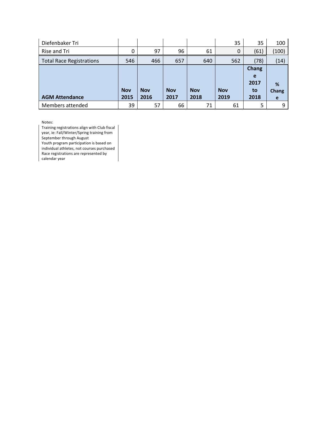| Diefenbaker Tri                 |            |            |            |            | 35         | 35    | 100   |
|---------------------------------|------------|------------|------------|------------|------------|-------|-------|
| Rise and Tri                    | 0          | 97         | 96         | 61         | $\Omega$   | (61)  | (100) |
| <b>Total Race Registrations</b> | 546        | 466        | 657        | 640        | 562        | (78)  | (14)  |
|                                 |            |            |            |            |            | Chang |       |
|                                 |            |            |            |            |            | e     |       |
|                                 |            |            |            |            |            | 2017  | %     |
|                                 | <b>Nov</b> | <b>Nov</b> | <b>Nov</b> | <b>Nov</b> | <b>Nov</b> | to    | Chang |
| <b>AGM Attendance</b>           | 2015       | 2016       | 2017       | 2018       | 2019       | 2018  | e     |
| Members attended                | 39         | 57         | 66         | 71         | 61         | 5     | 9     |

Notes:

Training registrations align with Club fiscal year, ie: Fall/Winter/Spring training from September through August Youth program participation is based on individual athletes, not courses purchased Race registrations are represented by calendar year